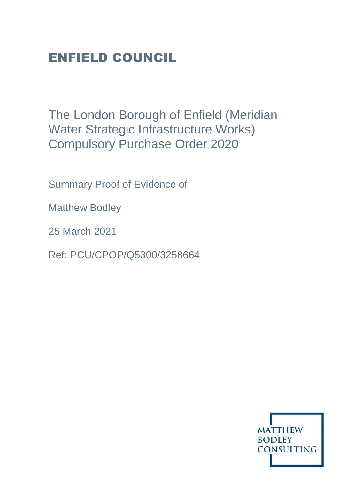# ENFIELD COUNCIL

The London Borough of Enfield (Meridian Water Strategic Infrastructure Works) Compulsory Purchase Order 2020

Summary Proof of Evidence of

Matthew Bodley

25 March 2021

Ref: PCU/CPOP/Q5300/3258664

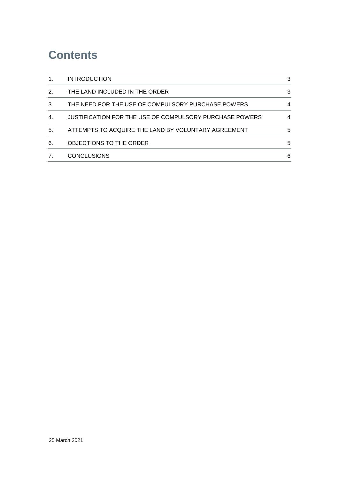# **Contents**

| 1. | <b>INTRODUCTION</b>                                     | 3 |
|----|---------------------------------------------------------|---|
| 2. | THE LAND INCLUDED IN THE ORDER                          | 3 |
| 3. | THE NEED FOR THE USE OF COMPULSORY PURCHASE POWERS      | 4 |
| 4. | JUSTIFICATION FOR THE USE OF COMPULSORY PURCHASE POWERS | 4 |
| 5. | ATTEMPTS TO ACQUIRE THE LAND BY VOLUNTARY AGREEMENT     | 5 |
| 6. | OBJECTIONS TO THE ORDER                                 | 5 |
|    | <b>CONCLUSIONS</b>                                      | 6 |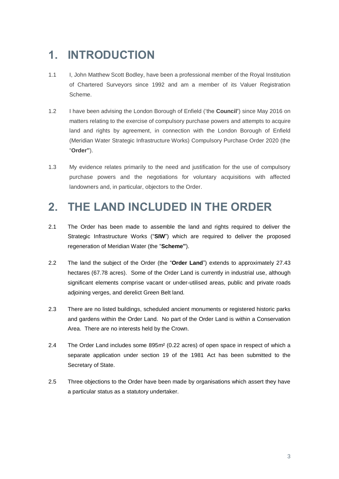# <span id="page-2-0"></span>**1. INTRODUCTION**

- 1.1 I, John Matthew Scott Bodley, have been a professional member of the Royal Institution of Chartered Surveyors since 1992 and am a member of its Valuer Registration Scheme.
- 1.2 I have been advising the London Borough of Enfield ('the **Council'**) since May 2016 on matters relating to the exercise of compulsory purchase powers and attempts to acquire land and rights by agreement, in connection with the London Borough of Enfield (Meridian Water Strategic Infrastructure Works) Compulsory Purchase Order 2020 (the "**Order"**).
- 1.3 My evidence relates primarily to the need and justification for the use of compulsory purchase powers and the negotiations for voluntary acquisitions with affected landowners and, in particular, objectors to the Order.

# <span id="page-2-1"></span>**2. THE LAND INCLUDED IN THE ORDER**

- 2.1 The Order has been made to assemble the land and rights required to deliver the Strategic Infrastructure Works ("**SIW**") which are required to deliver the proposed regeneration of Meridian Water (the "**Scheme"**).
- 2.2 The land the subject of the Order (the "**Order Land**") extends to approximately 27.43 hectares (67.78 acres). Some of the Order Land is currently in industrial use, although significant elements comprise vacant or under-utilised areas, public and private roads adjoining verges, and derelict Green Belt land.
- 2.3 There are no listed buildings, scheduled ancient monuments or registered historic parks and gardens within the Order Land. No part of the Order Land is within a Conservation Area. There are no interests held by the Crown.
- 2.4 The Order Land includes some 895m² (0.22 acres) of open space in respect of which a separate application under section 19 of the 1981 Act has been submitted to the Secretary of State.
- 2.5 Three objections to the Order have been made by organisations which assert they have a particular status as a statutory undertaker.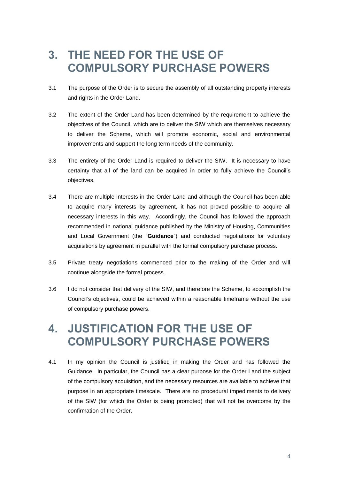#### <span id="page-3-0"></span>**3. THE NEED FOR THE USE OF COMPULSORY PURCHASE POWERS**

- 3.1 The purpose of the Order is to secure the assembly of all outstanding property interests and rights in the Order Land.
- 3.2 The extent of the Order Land has been determined by the requirement to achieve the objectives of the Council, which are to deliver the SIW which are themselves necessary to deliver the Scheme, which will promote economic, social and environmental improvements and support the long term needs of the community.
- 3.3 The entirety of the Order Land is required to deliver the SIW. It is necessary to have certainty that all of the land can be acquired in order to fully achieve the Council's objectives.
- 3.4 There are multiple interests in the Order Land and although the Council has been able to acquire many interests by agreement, it has not proved possible to acquire all necessary interests in this way. Accordingly, the Council has followed the approach recommended in national guidance published by the Ministry of Housing, Communities and Local Government (the "**Guidance**") and conducted negotiations for voluntary acquisitions by agreement in parallel with the formal compulsory purchase process.
- 3.5 Private treaty negotiations commenced prior to the making of the Order and will continue alongside the formal process.
- 3.6 I do not consider that delivery of the SIW, and therefore the Scheme, to accomplish the Council's objectives, could be achieved within a reasonable timeframe without the use of compulsory purchase powers.

## <span id="page-3-1"></span>**4. JUSTIFICATION FOR THE USE OF COMPULSORY PURCHASE POWERS**

4.1 In my opinion the Council is justified in making the Order and has followed the Guidance. In particular, the Council has a clear purpose for the Order Land the subject of the compulsory acquisition, and the necessary resources are available to achieve that purpose in an appropriate timescale. There are no procedural impediments to delivery of the SIW (for which the Order is being promoted) that will not be overcome by the confirmation of the Order.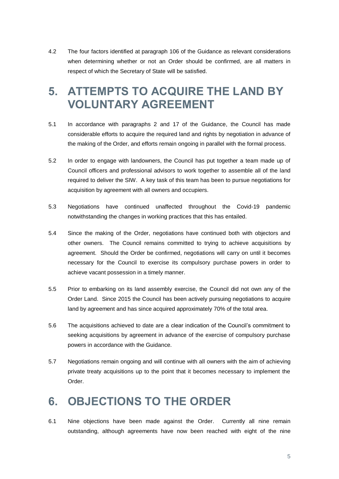4.2 The four factors identified at paragraph 106 of the Guidance as relevant considerations when determining whether or not an Order should be confirmed, are all matters in respect of which the Secretary of State will be satisfied.

## <span id="page-4-0"></span>**5. ATTEMPTS TO ACQUIRE THE LAND BY VOLUNTARY AGREEMENT**

- 5.1 In accordance with paragraphs 2 and 17 of the Guidance, the Council has made considerable efforts to acquire the required land and rights by negotiation in advance of the making of the Order, and efforts remain ongoing in parallel with the formal process.
- 5.2 In order to engage with landowners, the Council has put together a team made up of Council officers and professional advisors to work together to assemble all of the land required to deliver the SIW. A key task of this team has been to pursue negotiations for acquisition by agreement with all owners and occupiers.
- 5.3 Negotiations have continued unaffected throughout the Covid-19 pandemic notwithstanding the changes in working practices that this has entailed.
- 5.4 Since the making of the Order, negotiations have continued both with objectors and other owners. The Council remains committed to trying to achieve acquisitions by agreement. Should the Order be confirmed, negotiations will carry on until it becomes necessary for the Council to exercise its compulsory purchase powers in order to achieve vacant possession in a timely manner.
- 5.5 Prior to embarking on its land assembly exercise, the Council did not own any of the Order Land. Since 2015 the Council has been actively pursuing negotiations to acquire land by agreement and has since acquired approximately 70% of the total area.
- 5.6 The acquisitions achieved to date are a clear indication of the Council's commitment to seeking acquisitions by agreement in advance of the exercise of compulsory purchase powers in accordance with the Guidance.
- 5.7 Negotiations remain ongoing and will continue with all owners with the aim of achieving private treaty acquisitions up to the point that it becomes necessary to implement the Order.

# <span id="page-4-1"></span>**6. OBJECTIONS TO THE ORDER**

6.1 Nine objections have been made against the Order. Currently all nine remain outstanding, although agreements have now been reached with eight of the nine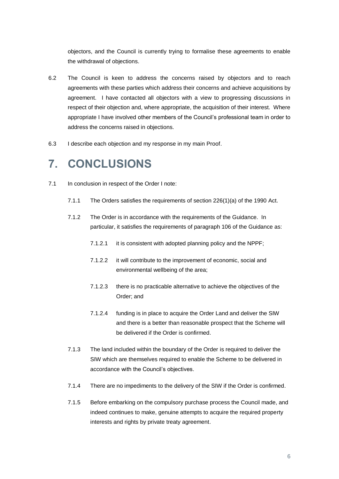objectors, and the Council is currently trying to formalise these agreements to enable the withdrawal of objections.

- 6.2 The Council is keen to address the concerns raised by objectors and to reach agreements with these parties which address their concerns and achieve acquisitions by agreement. I have contacted all objectors with a view to progressing discussions in respect of their objection and, where appropriate, the acquisition of their interest. Where appropriate I have involved other members of the Council's professional team in order to address the concerns raised in objections.
- 6.3 I describe each objection and my response in my main Proof.

#### <span id="page-5-0"></span>**7. CONCLUSIONS**

- 7.1 In conclusion in respect of the Order I note:
	- 7.1.1 The Orders satisfies the requirements of section 226(1)(a) of the 1990 Act.
	- 7.1.2 The Order is in accordance with the requirements of the Guidance. In particular, it satisfies the requirements of paragraph 106 of the Guidance as:
		- 7.1.2.1 it is consistent with adopted planning policy and the NPPF;
		- 7.1.2.2 it will contribute to the improvement of economic, social and environmental wellbeing of the area;
		- 7.1.2.3 there is no practicable alternative to achieve the objectives of the Order; and
		- 7.1.2.4 funding is in place to acquire the Order Land and deliver the SIW and there is a better than reasonable prospect that the Scheme will be delivered if the Order is confirmed.
	- 7.1.3 The land included within the boundary of the Order is required to deliver the SIW which are themselves required to enable the Scheme to be delivered in accordance with the Council's objectives.
	- 7.1.4 There are no impediments to the delivery of the SIW if the Order is confirmed.
	- 7.1.5 Before embarking on the compulsory purchase process the Council made, and indeed continues to make, genuine attempts to acquire the required property interests and rights by private treaty agreement.